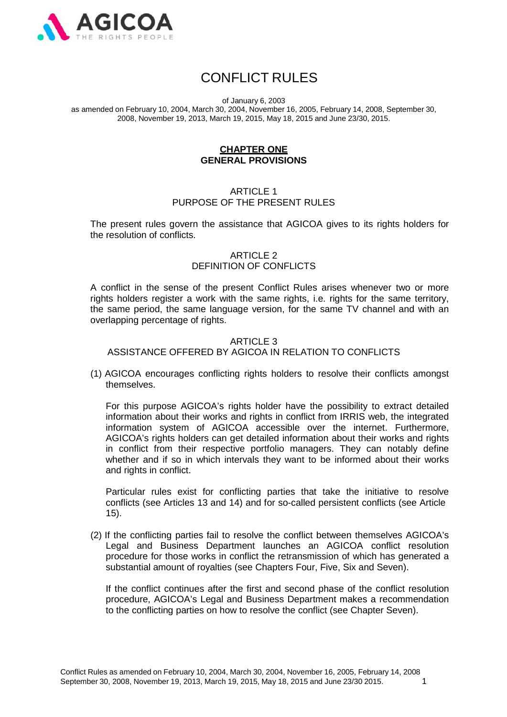

# CONFLICT RULES

of January 6, 2003

as amended on February 10, 2004, March 30, 2004, November 16, 2005, February 14, 2008, September 30, 2008, November 19, 2013, March 19, 2015, May 18, 2015 and June 23/30, 2015.

### **CHAPTER ONE GENERAL PROVISIONS**

# ARTICLE 1 PURPOSE OF THE PRESENT RULES

The present rules govern the assistance that AGICOA gives to its rights holders for the resolution of conflicts.

# ARTICLE 2 DEFINITION OF CONFLICTS

A conflict in the sense of the present Conflict Rules arises whenever two or more rights holders register a work with the same rights, i.e. rights for the same territory, the same period, the same language version, for the same TV channel and with an overlapping percentage of rights.

# ARTICLE 3 ASSISTANCE OFFERED BY AGICOA IN RELATION TO CONFLICTS

(1) AGICOA encourages conflicting rights holders to resolve their conflicts amongst themselves.

For this purpose AGICOA's rights holder have the possibility to extract detailed information about their works and rights in conflict from IRRIS web, the integrated information system of AGICOA accessible over the internet. Furthermore, AGICOA's rights holders can get detailed information about their works and rights in conflict from their respective portfolio managers. They can notably define whether and if so in which intervals they want to be informed about their works and rights in conflict.

Particular rules exist for conflicting parties that take the initiative to resolve conflicts (see Articles 13 and 14) and for so-called persistent conflicts (see Article 15).

(2) If the conflicting parties fail to resolve the conflict between themselves AGICOA's Legal and Business Department launches an AGICOA conflict resolution procedure for those works in conflict the retransmission of which has generated a substantial amount of royalties (see Chapters Four, Five, Six and Seven).

If the conflict continues after the first and second phase of the conflict resolution procedure, AGICOA's Legal and Business Department makes a recommendation to the conflicting parties on how to resolve the conflict (see Chapter Seven).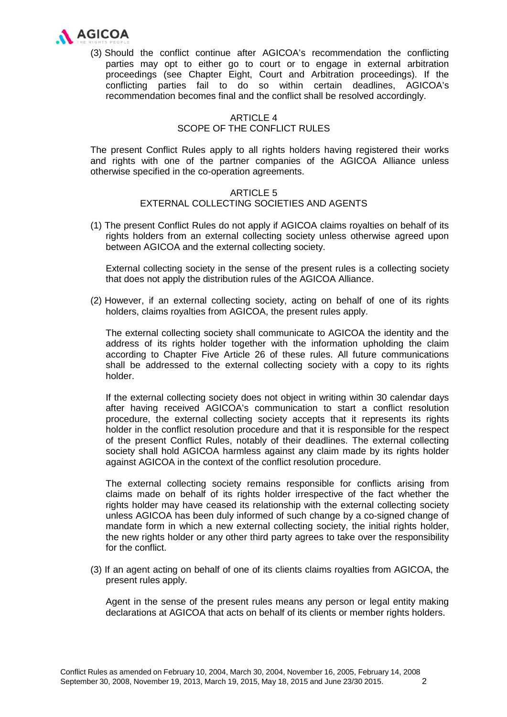

(3) Should the conflict continue after AGICOA's recommendation the conflicting parties may opt to either go to court or to engage in external arbitration proceedings (see Chapter Eight, Court and Arbitration proceedings). If the conflicting parties fail to do so within certain deadlines, AGICOA's recommendation becomes final and the conflict shall be resolved accordingly.

# ARTICLE 4 SCOPE OF THE CONFLICT RULES

The present Conflict Rules apply to all rights holders having registered their works and rights with one of the partner companies of the AGICOA Alliance unless otherwise specified in the co-operation agreements.

# ARTICLE 5 EXTERNAL COLLECTING SOCIETIES AND AGENTS

(1) The present Conflict Rules do not apply if AGICOA claims royalties on behalf of its rights holders from an external collecting society unless otherwise agreed upon between AGICOA and the external collecting society.

External collecting society in the sense of the present rules is a collecting society that does not apply the distribution rules of the AGICOA Alliance.

(2) However, if an external collecting society, acting on behalf of one of its rights holders, claims royalties from AGICOA, the present rules apply.

The external collecting society shall communicate to AGICOA the identity and the address of its rights holder together with the information upholding the claim according to Chapter Five Article 26 of these rules. All future communications shall be addressed to the external collecting society with a copy to its rights holder.

If the external collecting society does not object in writing within 30 calendar days after having received AGICOA's communication to start a conflict resolution procedure, the external collecting society accepts that it represents its rights holder in the conflict resolution procedure and that it is responsible for the respect of the present Conflict Rules, notably of their deadlines. The external collecting society shall hold AGICOA harmless against any claim made by its rights holder against AGICOA in the context of the conflict resolution procedure.

The external collecting society remains responsible for conflicts arising from claims made on behalf of its rights holder irrespective of the fact whether the rights holder may have ceased its relationship with the external collecting society unless AGICOA has been duly informed of such change by a co-signed change of mandate form in which a new external collecting society, the initial rights holder, the new rights holder or any other third party agrees to take over the responsibility for the conflict.

(3) If an agent acting on behalf of one of its clients claims royalties from AGICOA, the present rules apply.

Agent in the sense of the present rules means any person or legal entity making declarations at AGICOA that acts on behalf of its clients or member rights holders.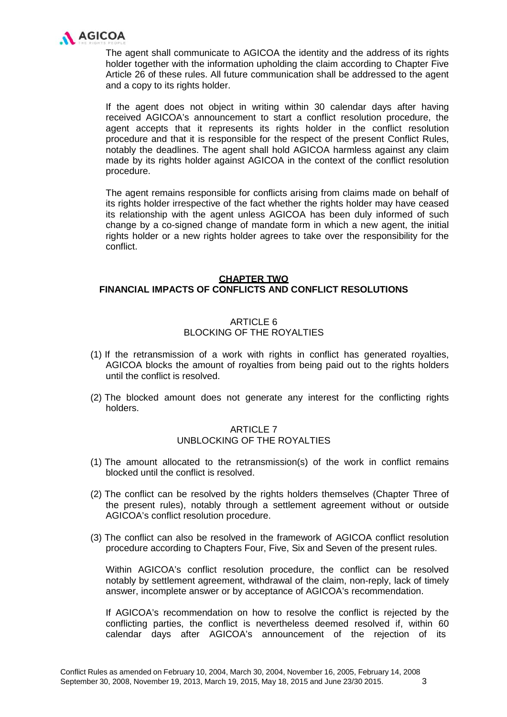

The agent shall communicate to AGICOA the identity and the address of its rights holder together with the information upholding the claim according to Chapter Five Article 26 of these rules. All future communication shall be addressed to the agent and a copy to its rights holder.

If the agent does not object in writing within 30 calendar days after having received AGICOA's announcement to start a conflict resolution procedure, the agent accepts that it represents its rights holder in the conflict resolution procedure and that it is responsible for the respect of the present Conflict Rules, notably the deadlines. The agent shall hold AGICOA harmless against any claim made by its rights holder against AGICOA in the context of the conflict resolution procedure.

The agent remains responsible for conflicts arising from claims made on behalf of its rights holder irrespective of the fact whether the rights holder may have ceased its relationship with the agent unless AGICOA has been duly informed of such change by a co-signed change of mandate form in which a new agent, the initial rights holder or a new rights holder agrees to take over the responsibility for the conflict.

### **CHAPTER TWO FINANCIAL IMPACTS OF CONFLICTS AND CONFLICT RESOLUTIONS**

#### ARTICLE 6 BLOCKING OF THE ROYALTIES

- (1) If the retransmission of a work with rights in conflict has generated royalties, AGICOA blocks the amount of royalties from being paid out to the rights holders until the conflict is resolved.
- (2) The blocked amount does not generate any interest for the conflicting rights holders.

# ARTICLE 7 UNBLOCKING OF THE ROYALTIES

- (1) The amount allocated to the retransmission(s) of the work in conflict remains blocked until the conflict is resolved.
- (2) The conflict can be resolved by the rights holders themselves (Chapter Three of the present rules), notably through a settlement agreement without or outside AGICOA's conflict resolution procedure.
- (3) The conflict can also be resolved in the framework of AGICOA conflict resolution procedure according to Chapters Four, Five, Six and Seven of the present rules.

Within AGICOA's conflict resolution procedure, the conflict can be resolved notably by settlement agreement, withdrawal of the claim, non-reply, lack of timely answer, incomplete answer or by acceptance of AGICOA's recommendation.

If AGICOA's recommendation on how to resolve the conflict is rejected by the conflicting parties, the conflict is nevertheless deemed resolved if, within 60 calendar days after AGICOA's announcement of the rejection of its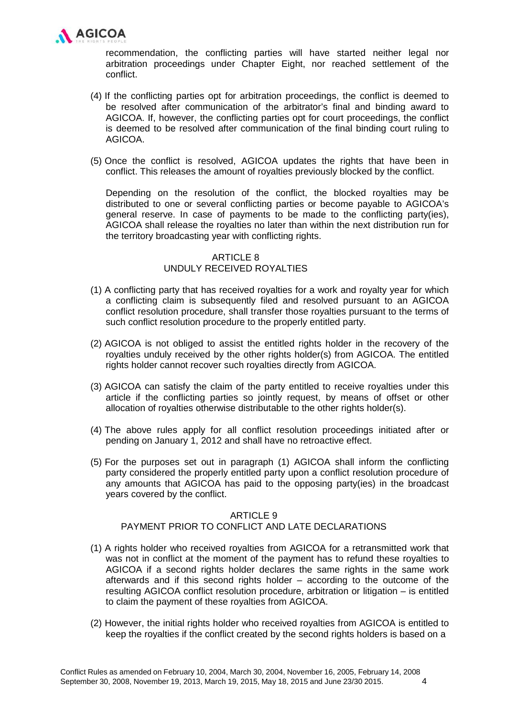

recommendation, the conflicting parties will have started neither legal nor arbitration proceedings under Chapter Eight, nor reached settlement of the conflict.

- (4) If the conflicting parties opt for arbitration proceedings, the conflict is deemed to be resolved after communication of the arbitrator's final and binding award to AGICOA. If, however, the conflicting parties opt for court proceedings, the conflict is deemed to be resolved after communication of the final binding court ruling to AGICOA.
- (5) Once the conflict is resolved, AGICOA updates the rights that have been in conflict. This releases the amount of royalties previously blocked by the conflict.

Depending on the resolution of the conflict, the blocked royalties may be distributed to one or several conflicting parties or become payable to AGICOA's general reserve. In case of payments to be made to the conflicting party(ies), AGICOA shall release the royalties no later than within the next distribution run for the territory broadcasting year with conflicting rights.

# ARTICLE 8 UNDULY RECEIVED ROYALTIES

- (1) A conflicting party that has received royalties for a work and royalty year for which a conflicting claim is subsequently filed and resolved pursuant to an AGICOA conflict resolution procedure, shall transfer those royalties pursuant to the terms of such conflict resolution procedure to the properly entitled party.
- (2) AGICOA is not obliged to assist the entitled rights holder in the recovery of the royalties unduly received by the other rights holder(s) from AGICOA. The entitled rights holder cannot recover such royalties directly from AGICOA.
- (3) AGICOA can satisfy the claim of the party entitled to receive royalties under this article if the conflicting parties so jointly request, by means of offset or other allocation of royalties otherwise distributable to the other rights holder(s).
- (4) The above rules apply for all conflict resolution proceedings initiated after or pending on January 1, 2012 and shall have no retroactive effect.
- (5) For the purposes set out in paragraph (1) AGICOA shall inform the conflicting party considered the properly entitled party upon a conflict resolution procedure of any amounts that AGICOA has paid to the opposing party(ies) in the broadcast years covered by the conflict.

### ARTICLE 9

# PAYMENT PRIOR TO CONFLICT AND LATE DECLARATIONS

- (1) A rights holder who received royalties from AGICOA for a retransmitted work that was not in conflict at the moment of the payment has to refund these royalties to AGICOA if a second rights holder declares the same rights in the same work afterwards and if this second rights holder – according to the outcome of the resulting AGICOA conflict resolution procedure, arbitration or litigation – is entitled to claim the payment of these royalties from AGICOA.
- (2) However, the initial rights holder who received royalties from AGICOA is entitled to keep the royalties if the conflict created by the second rights holders is based on a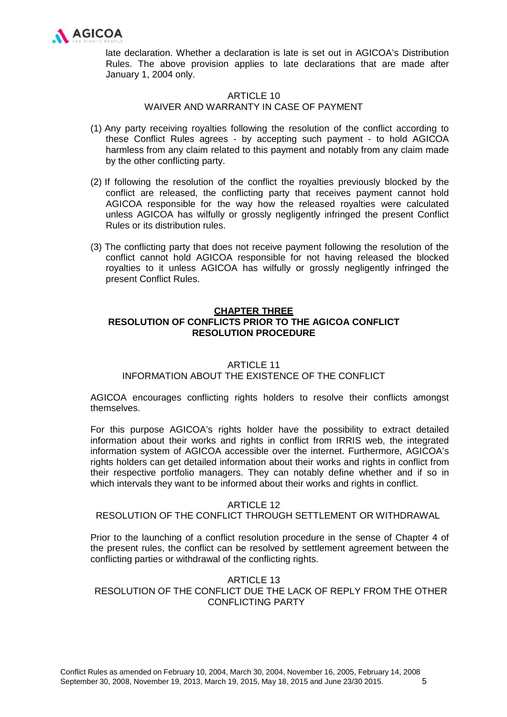

late declaration. Whether a declaration is late is set out in AGICOA's Distribution Rules. The above provision applies to late declarations that are made after January 1, 2004 only.

# ARTICLE 10

### WAIVER AND WARRANTY IN CASE OF PAYMENT

- (1) Any party receiving royalties following the resolution of the conflict according to these Conflict Rules agrees - by accepting such payment - to hold AGICOA harmless from any claim related to this payment and notably from any claim made by the other conflicting party.
- (2) If following the resolution of the conflict the royalties previously blocked by the conflict are released, the conflicting party that receives payment cannot hold AGICOA responsible for the way how the released royalties were calculated unless AGICOA has wilfully or grossly negligently infringed the present Conflict Rules or its distribution rules.
- (3) The conflicting party that does not receive payment following the resolution of the conflict cannot hold AGICOA responsible for not having released the blocked royalties to it unless AGICOA has wilfully or grossly negligently infringed the present Conflict Rules.

# **CHAPTER THREE**

# **RESOLUTION OF CONFLICTS PRIOR TO THE AGICOA CONFLICT RESOLUTION PROCEDURE**

### ARTICLE 11

# INFORMATION ABOUT THE EXISTENCE OF THE CONFLICT

AGICOA encourages conflicting rights holders to resolve their conflicts amongst themselves.

For this purpose AGICOA's rights holder have the possibility to extract detailed information about their works and rights in conflict from IRRIS web, the integrated information system of AGICOA accessible over the internet. Furthermore, AGICOA's rights holders can get detailed information about their works and rights in conflict from their respective portfolio managers. They can notably define whether and if so in which intervals they want to be informed about their works and rights in conflict.

### ARTICLE 12

# RESOLUTION OF THE CONFLICT THROUGH SETTLEMENT OR WITHDRAWAL

Prior to the launching of a conflict resolution procedure in the sense of Chapter 4 of the present rules, the conflict can be resolved by settlement agreement between the conflicting parties or withdrawal of the conflicting rights.

### ARTICLE 13 RESOLUTION OF THE CONFLICT DUE THE LACK OF REPLY FROM THE OTHER CONFLICTING PARTY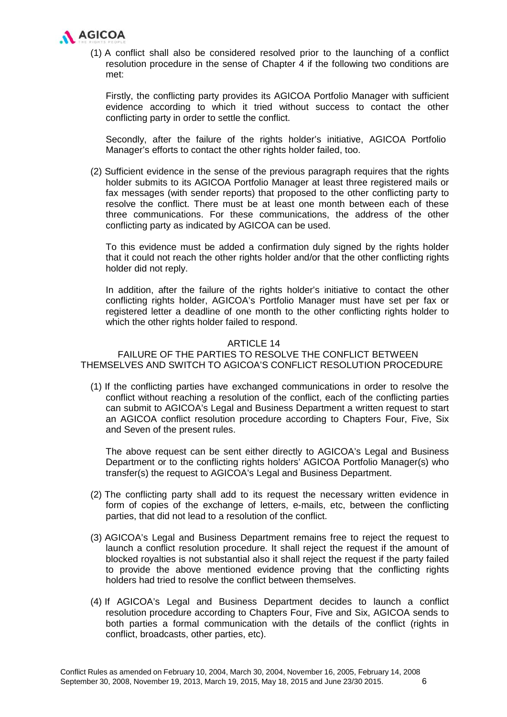

(1) A conflict shall also be considered resolved prior to the launching of a conflict resolution procedure in the sense of Chapter 4 if the following two conditions are met:

Firstly, the conflicting party provides its AGICOA Portfolio Manager with sufficient evidence according to which it tried without success to contact the other conflicting party in order to settle the conflict.

Secondly, after the failure of the rights holder's initiative, AGICOA Portfolio Manager's efforts to contact the other rights holder failed, too.

(2) Sufficient evidence in the sense of the previous paragraph requires that the rights holder submits to its AGICOA Portfolio Manager at least three registered mails or fax messages (with sender reports) that proposed to the other conflicting party to resolve the conflict. There must be at least one month between each of these three communications. For these communications, the address of the other conflicting party as indicated by AGICOA can be used.

To this evidence must be added a confirmation duly signed by the rights holder that it could not reach the other rights holder and/or that the other conflicting rights holder did not reply.

In addition, after the failure of the rights holder's initiative to contact the other conflicting rights holder, AGICOA's Portfolio Manager must have set per fax or registered letter a deadline of one month to the other conflicting rights holder to which the other rights holder failed to respond.

#### ARTICLE 14

# FAILURE OF THE PARTIES TO RESOLVE THE CONFLICT BETWEEN THEMSELVES AND SWITCH TO AGICOA'S CONFLICT RESOLUTION PROCEDURE

(1) If the conflicting parties have exchanged communications in order to resolve the conflict without reaching a resolution of the conflict, each of the conflicting parties can submit to AGICOA's Legal and Business Department a written request to start an AGICOA conflict resolution procedure according to Chapters Four, Five, Six and Seven of the present rules.

The above request can be sent either directly to AGICOA's Legal and Business Department or to the conflicting rights holders' AGICOA Portfolio Manager(s) who transfer(s) the request to AGICOA's Legal and Business Department.

- (2) The conflicting party shall add to its request the necessary written evidence in form of copies of the exchange of letters, e-mails, etc, between the conflicting parties, that did not lead to a resolution of the conflict.
- (3) AGICOA's Legal and Business Department remains free to reject the request to launch a conflict resolution procedure. It shall reject the request if the amount of blocked royalties is not substantial also it shall reject the request if the party failed to provide the above mentioned evidence proving that the conflicting rights holders had tried to resolve the conflict between themselves.
- (4) If AGICOA's Legal and Business Department decides to launch a conflict resolution procedure according to Chapters Four, Five and Six, AGICOA sends to both parties a formal communication with the details of the conflict (rights in conflict, broadcasts, other parties, etc).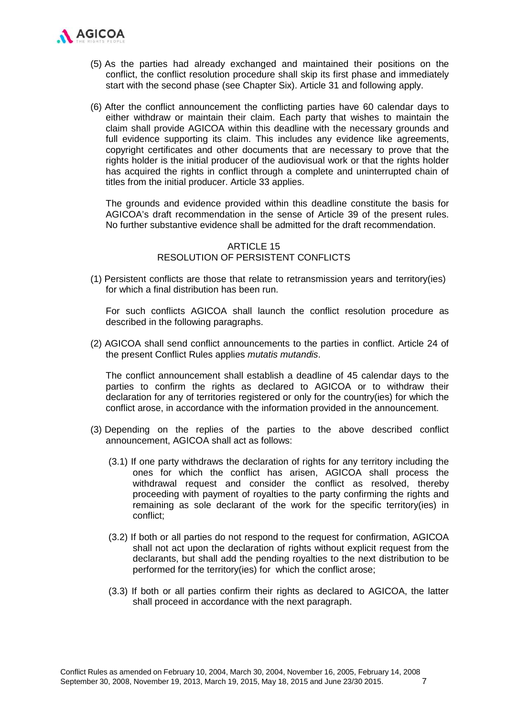

- (5) As the parties had already exchanged and maintained their positions on the conflict, the conflict resolution procedure shall skip its first phase and immediately start with the second phase (see Chapter Six). Article 31 and following apply.
- (6) After the conflict announcement the conflicting parties have 60 calendar days to either withdraw or maintain their claim. Each party that wishes to maintain the claim shall provide AGICOA within this deadline with the necessary grounds and full evidence supporting its claim. This includes any evidence like agreements, copyright certificates and other documents that are necessary to prove that the rights holder is the initial producer of the audiovisual work or that the rights holder has acquired the rights in conflict through a complete and uninterrupted chain of titles from the initial producer. Article 33 applies.

The grounds and evidence provided within this deadline constitute the basis for AGICOA's draft recommendation in the sense of Article 39 of the present rules. No further substantive evidence shall be admitted for the draft recommendation.

# ARTICLE 15 RESOLUTION OF PERSISTENT CONFLICTS

(1) Persistent conflicts are those that relate to retransmission years and territory(ies) for which a final distribution has been run.

For such conflicts AGICOA shall launch the conflict resolution procedure as described in the following paragraphs.

(2) AGICOA shall send conflict announcements to the parties in conflict. Article 24 of the present Conflict Rules applies *mutatis mutandis*.

The conflict announcement shall establish a deadline of 45 calendar days to the parties to confirm the rights as declared to AGICOA or to withdraw their declaration for any of territories registered or only for the country(ies) for which the conflict arose, in accordance with the information provided in the announcement.

- (3) Depending on the replies of the parties to the above described conflict announcement, AGICOA shall act as follows:
	- (3.1) If one party withdraws the declaration of rights for any territory including the ones for which the conflict has arisen, AGICOA shall process the withdrawal request and consider the conflict as resolved, thereby proceeding with payment of royalties to the party confirming the rights and remaining as sole declarant of the work for the specific territory(ies) in conflict;
	- (3.2) If both or all parties do not respond to the request for confirmation, AGICOA shall not act upon the declaration of rights without explicit request from the declarants, but shall add the pending royalties to the next distribution to be performed for the territory(ies) for which the conflict arose;
	- (3.3) If both or all parties confirm their rights as declared to AGICOA, the latter shall proceed in accordance with the next paragraph.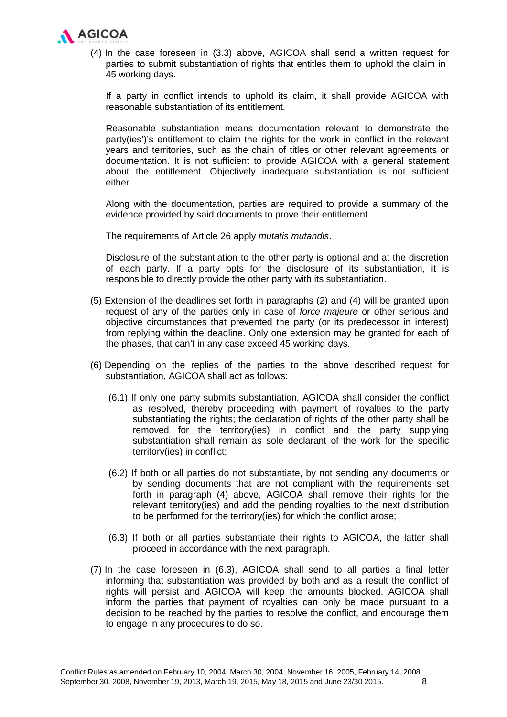

(4) In the case foreseen in (3.3) above, AGICOA shall send a written request for parties to submit substantiation of rights that entitles them to uphold the claim in 45 working days.

If a party in conflict intends to uphold its claim, it shall provide AGICOA with reasonable substantiation of its entitlement.

Reasonable substantiation means documentation relevant to demonstrate the party(ies')'s entitlement to claim the rights for the work in conflict in the relevant years and territories, such as the chain of titles or other relevant agreements or documentation. It is not sufficient to provide AGICOA with a general statement about the entitlement. Objectively inadequate substantiation is not sufficient either.

Along with the documentation, parties are required to provide a summary of the evidence provided by said documents to prove their entitlement.

The requirements of Article 26 apply *mutatis mutandis*.

Disclosure of the substantiation to the other party is optional and at the discretion of each party. If a party opts for the disclosure of its substantiation, it is responsible to directly provide the other party with its substantiation.

- (5) Extension of the deadlines set forth in paragraphs (2) and (4) will be granted upon request of any of the parties only in case of *force majeure* or other serious and objective circumstances that prevented the party (or its predecessor in interest) from replying within the deadline. Only one extension may be granted for each of the phases, that can't in any case exceed 45 working days.
- (6) Depending on the replies of the parties to the above described request for substantiation, AGICOA shall act as follows:
	- (6.1) If only one party submits substantiation, AGICOA shall consider the conflict as resolved, thereby proceeding with payment of royalties to the party substantiating the rights; the declaration of rights of the other party shall be removed for the territory(ies) in conflict and the party supplying substantiation shall remain as sole declarant of the work for the specific territory(ies) in conflict;
	- (6.2) If both or all parties do not substantiate, by not sending any documents or by sending documents that are not compliant with the requirements set forth in paragraph (4) above, AGICOA shall remove their rights for the relevant territory(ies) and add the pending royalties to the next distribution to be performed for the territory(ies) for which the conflict arose;
	- (6.3) If both or all parties substantiate their rights to AGICOA, the latter shall proceed in accordance with the next paragraph.
- (7) In the case foreseen in (6.3), AGICOA shall send to all parties a final letter informing that substantiation was provided by both and as a result the conflict of rights will persist and AGICOA will keep the amounts blocked. AGICOA shall inform the parties that payment of royalties can only be made pursuant to a decision to be reached by the parties to resolve the conflict, and encourage them to engage in any procedures to do so.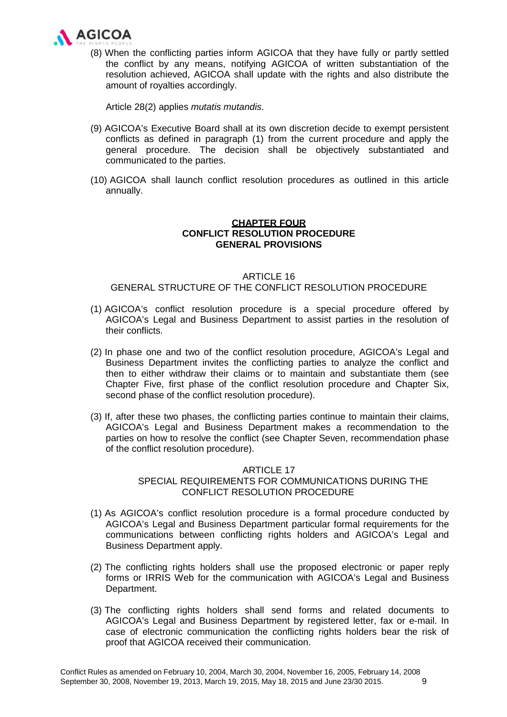

(8) When the conflicting parties inform AGICOA that they have fully or partly settled the conflict by any means, notifying AGICOA of written substantiation of the resolution achieved, AGICOA shall update with the rights and also distribute the amount of royalties accordingly.

Article 28(2) applies *mutatis mutandis*.

- (9) AGICOA's Executive Board shall at its own discretion decide to exempt persistent conflicts as defined in paragraph (1) from the current procedure and apply the general procedure. The decision shall be objectively substantiated and communicated to the parties.
- (10) AGICOA shall launch conflict resolution procedures as outlined in this article annually.

# **CHAPTER FOUR CONFLICT RESOLUTION PROCEDURE GENERAL PROVISIONS**

### ARTICLE 16 GENERAL STRUCTURE OF THE CONFLICT RESOLUTION PROCEDURE

- (1) AGICOA's conflict resolution procedure is a special procedure offered by AGICOA's Legal and Business Department to assist parties in the resolution of their conflicts.
- (2) In phase one and two of the conflict resolution procedure, AGICOA's Legal and Business Department invites the conflicting parties to analyze the conflict and then to either withdraw their claims or to maintain and substantiate them (see Chapter Five, first phase of the conflict resolution procedure and Chapter Six, second phase of the conflict resolution procedure).
- (3) If, after these two phases, the conflicting parties continue to maintain their claims, AGICOA's Legal and Business Department makes a recommendation to the parties on how to resolve the conflict (see Chapter Seven, recommendation phase of the conflict resolution procedure).

### ARTICLE 17

# SPECIAL REQUIREMENTS FOR COMMUNICATIONS DURING THE CONFLICT RESOLUTION PROCEDURE

- (1) As AGICOA's conflict resolution procedure is a formal procedure conducted by AGICOA's Legal and Business Department particular formal requirements for the communications between conflicting rights holders and AGICOA's Legal and Business Department apply.
- (2) The conflicting rights holders shall use the proposed electronic or paper reply forms or IRRIS Web for the communication with AGICOA's Legal and Business Department.
- (3) The conflicting rights holders shall send forms and related documents to AGICOA's Legal and Business Department by registered letter, fax or e-mail. In case of electronic communication the conflicting rights holders bear the risk of proof that AGICOA received their communication.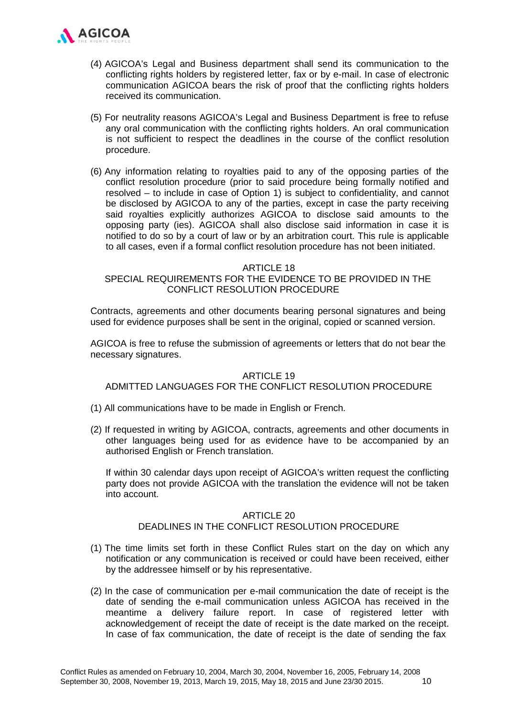

- (4) AGICOA's Legal and Business department shall send its communication to the conflicting rights holders by registered letter, fax or by e-mail. In case of electronic communication AGICOA bears the risk of proof that the conflicting rights holders received its communication.
- (5) For neutrality reasons AGICOA's Legal and Business Department is free to refuse any oral communication with the conflicting rights holders. An oral communication is not sufficient to respect the deadlines in the course of the conflict resolution procedure.
- (6) Any information relating to royalties paid to any of the opposing parties of the conflict resolution procedure (prior to said procedure being formally notified and resolved – to include in case of Option 1) is subject to confidentiality, and cannot be disclosed by AGICOA to any of the parties, except in case the party receiving said royalties explicitly authorizes AGICOA to disclose said amounts to the opposing party (ies). AGICOA shall also disclose said information in case it is notified to do so by a court of law or by an arbitration court. This rule is applicable to all cases, even if a formal conflict resolution procedure has not been initiated.

#### **ARTICLE 18**

# SPECIAL REQUIREMENTS FOR THE EVIDENCE TO BE PROVIDED IN THE CONFLICT RESOLUTION PROCEDURE

Contracts, agreements and other documents bearing personal signatures and being used for evidence purposes shall be sent in the original, copied or scanned version.

AGICOA is free to refuse the submission of agreements or letters that do not bear the necessary signatures.

#### ARTICLE 19

### ADMITTED LANGUAGES FOR THE CONFLICT RESOLUTION PROCEDURE

- (1) All communications have to be made in English or French.
- (2) If requested in writing by AGICOA, contracts, agreements and other documents in other languages being used for as evidence have to be accompanied by an authorised English or French translation.

If within 30 calendar days upon receipt of AGICOA's written request the conflicting party does not provide AGICOA with the translation the evidence will not be taken into account.

#### ARTICLE 20

# DEADLINES IN THE CONFLICT RESOLUTION PROCEDURE

- (1) The time limits set forth in these Conflict Rules start on the day on which any notification or any communication is received or could have been received, either by the addressee himself or by his representative.
- (2) In the case of communication per e-mail communication the date of receipt is the date of sending the e-mail communication unless AGICOA has received in the meantime a delivery failure report. In case of registered letter with acknowledgement of receipt the date of receipt is the date marked on the receipt. In case of fax communication, the date of receipt is the date of sending the fax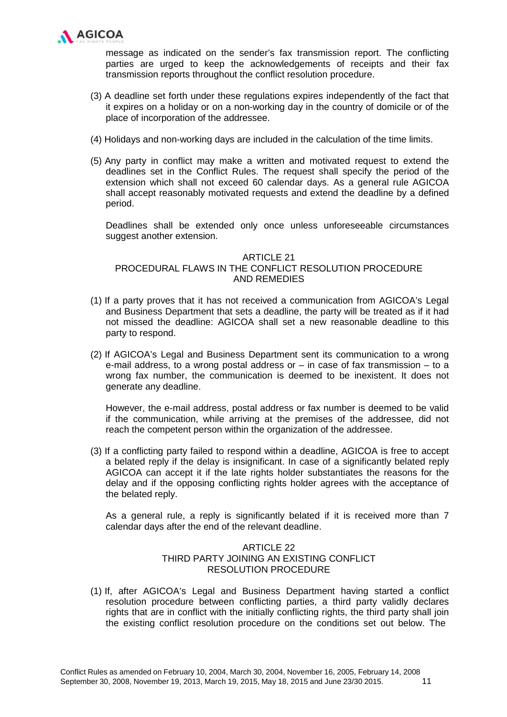

message as indicated on the sender's fax transmission report. The conflicting parties are urged to keep the acknowledgements of receipts and their fax transmission reports throughout the conflict resolution procedure.

- (3) A deadline set forth under these regulations expires independently of the fact that it expires on a holiday or on a non-working day in the country of domicile or of the place of incorporation of the addressee.
- (4) Holidays and non-working days are included in the calculation of the time limits.
- (5) Any party in conflict may make a written and motivated request to extend the deadlines set in the Conflict Rules. The request shall specify the period of the extension which shall not exceed 60 calendar days. As a general rule AGICOA shall accept reasonably motivated requests and extend the deadline by a defined period.

Deadlines shall be extended only once unless unforeseeable circumstances suggest another extension.

### ARTICLE 21

# PROCEDURAL FLAWS IN THE CONFLICT RESOLUTION PROCEDURE AND REMEDIES

- (1) If a party proves that it has not received a communication from AGICOA's Legal and Business Department that sets a deadline, the party will be treated as if it had not missed the deadline: AGICOA shall set a new reasonable deadline to this party to respond.
- (2) If AGICOA's Legal and Business Department sent its communication to a wrong e-mail address, to a wrong postal address or – in case of fax transmission – to a wrong fax number, the communication is deemed to be inexistent. It does not generate any deadline.

However, the e-mail address, postal address or fax number is deemed to be valid if the communication, while arriving at the premises of the addressee, did not reach the competent person within the organization of the addressee.

(3) If a conflicting party failed to respond within a deadline, AGICOA is free to accept a belated reply if the delay is insignificant. In case of a significantly belated reply AGICOA can accept it if the late rights holder substantiates the reasons for the delay and if the opposing conflicting rights holder agrees with the acceptance of the belated reply.

As a general rule, a reply is significantly belated if it is received more than 7 calendar days after the end of the relevant deadline.

# **ARTICLE 22** THIRD PARTY JOINING AN EXISTING CONFLICT RESOLUTION PROCEDURE

(1) If, after AGICOA's Legal and Business Department having started a conflict resolution procedure between conflicting parties, a third party validly declares rights that are in conflict with the initially conflicting rights, the third party shall join the existing conflict resolution procedure on the conditions set out below. The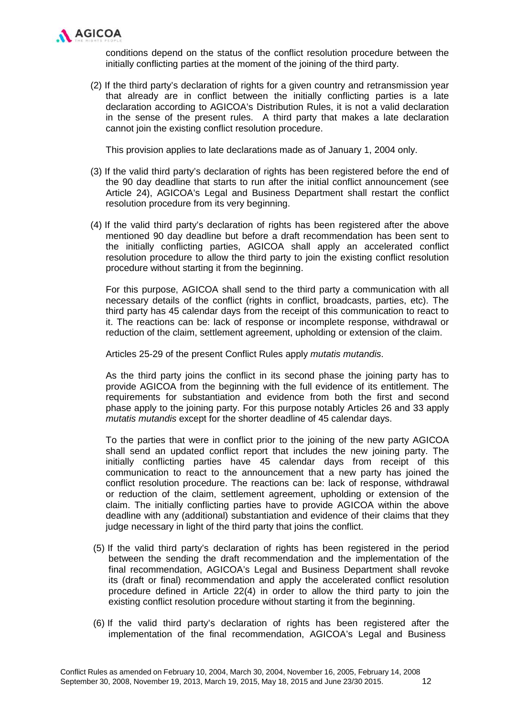

conditions depend on the status of the conflict resolution procedure between the initially conflicting parties at the moment of the joining of the third party.

(2) If the third party's declaration of rights for a given country and retransmission year that already are in conflict between the initially conflicting parties is a late declaration according to AGICOA's Distribution Rules, it is not a valid declaration in the sense of the present rules. A third party that makes a late declaration cannot join the existing conflict resolution procedure.

This provision applies to late declarations made as of January 1, 2004 only.

- (3) If the valid third party's declaration of rights has been registered before the end of the 90 day deadline that starts to run after the initial conflict announcement (see Article 24), AGICOA's Legal and Business Department shall restart the conflict resolution procedure from its very beginning.
- (4) If the valid third party's declaration of rights has been registered after the above mentioned 90 day deadline but before a draft recommendation has been sent to the initially conflicting parties, AGICOA shall apply an accelerated conflict resolution procedure to allow the third party to join the existing conflict resolution procedure without starting it from the beginning.

For this purpose, AGICOA shall send to the third party a communication with all necessary details of the conflict (rights in conflict, broadcasts, parties, etc). The third party has 45 calendar days from the receipt of this communication to react to it. The reactions can be: lack of response or incomplete response, withdrawal or reduction of the claim, settlement agreement, upholding or extension of the claim.

Articles 25-29 of the present Conflict Rules apply *mutatis mutandis*.

As the third party joins the conflict in its second phase the joining party has to provide AGICOA from the beginning with the full evidence of its entitlement. The requirements for substantiation and evidence from both the first and second phase apply to the joining party. For this purpose notably Articles 26 and 33 apply *mutatis mutandis* except for the shorter deadline of 45 calendar days.

To the parties that were in conflict prior to the joining of the new party AGICOA shall send an updated conflict report that includes the new joining party. The initially conflicting parties have 45 calendar days from receipt of this communication to react to the announcement that a new party has joined the conflict resolution procedure. The reactions can be: lack of response, withdrawal or reduction of the claim, settlement agreement, upholding or extension of the claim. The initially conflicting parties have to provide AGICOA within the above deadline with any (additional) substantiation and evidence of their claims that they judge necessary in light of the third party that joins the conflict.

- (5) If the valid third party's declaration of rights has been registered in the period between the sending the draft recommendation and the implementation of the final recommendation, AGICOA's Legal and Business Department shall revoke its (draft or final) recommendation and apply the accelerated conflict resolution procedure defined in Article 22(4) in order to allow the third party to join the existing conflict resolution procedure without starting it from the beginning.
- (6) If the valid third party's declaration of rights has been registered after the implementation of the final recommendation, AGICOA's Legal and Business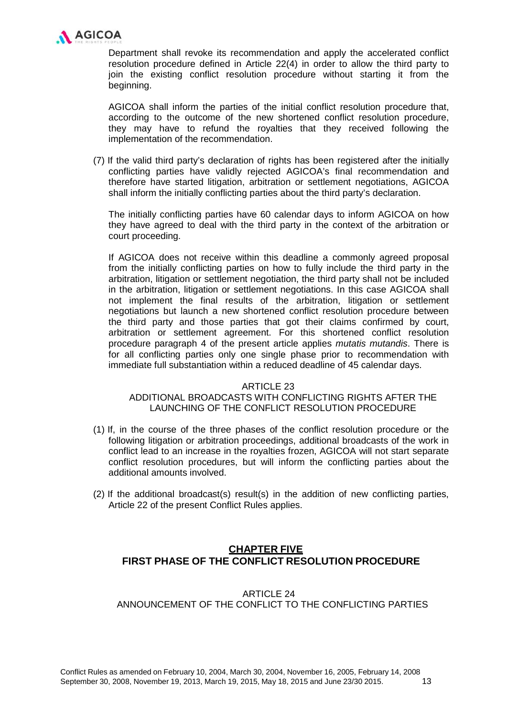

Department shall revoke its recommendation and apply the accelerated conflict resolution procedure defined in Article 22(4) in order to allow the third party to join the existing conflict resolution procedure without starting it from the beginning.

AGICOA shall inform the parties of the initial conflict resolution procedure that, according to the outcome of the new shortened conflict resolution procedure, they may have to refund the royalties that they received following the implementation of the recommendation.

(7) If the valid third party's declaration of rights has been registered after the initially conflicting parties have validly rejected AGICOA's final recommendation and therefore have started litigation, arbitration or settlement negotiations, AGICOA shall inform the initially conflicting parties about the third party's declaration.

The initially conflicting parties have 60 calendar days to inform AGICOA on how they have agreed to deal with the third party in the context of the arbitration or court proceeding.

If AGICOA does not receive within this deadline a commonly agreed proposal from the initially conflicting parties on how to fully include the third party in the arbitration, litigation or settlement negotiation, the third party shall not be included in the arbitration, litigation or settlement negotiations. In this case AGICOA shall not implement the final results of the arbitration, litigation or settlement negotiations but launch a new shortened conflict resolution procedure between the third party and those parties that got their claims confirmed by court, arbitration or settlement agreement. For this shortened conflict resolution procedure paragraph 4 of the present article applies *mutatis mutandis*. There is for all conflicting parties only one single phase prior to recommendation with immediate full substantiation within a reduced deadline of 45 calendar days.

### ARTICLE 23

# ADDITIONAL BROADCASTS WITH CONFLICTING RIGHTS AFTER THE LAUNCHING OF THE CONFLICT RESOLUTION PROCEDURE

- (1) If, in the course of the three phases of the conflict resolution procedure or the following litigation or arbitration proceedings, additional broadcasts of the work in conflict lead to an increase in the royalties frozen, AGICOA will not start separate conflict resolution procedures, but will inform the conflicting parties about the additional amounts involved.
- (2) If the additional broadcast(s) result(s) in the addition of new conflicting parties, Article 22 of the present Conflict Rules applies.

# **CHAPTER FIVE FIRST PHASE OF THE CONFLICT RESOLUTION PROCEDURE**

# ARTICLE 24 ANNOUNCEMENT OF THE CONFLICT TO THE CONFLICTING PARTIES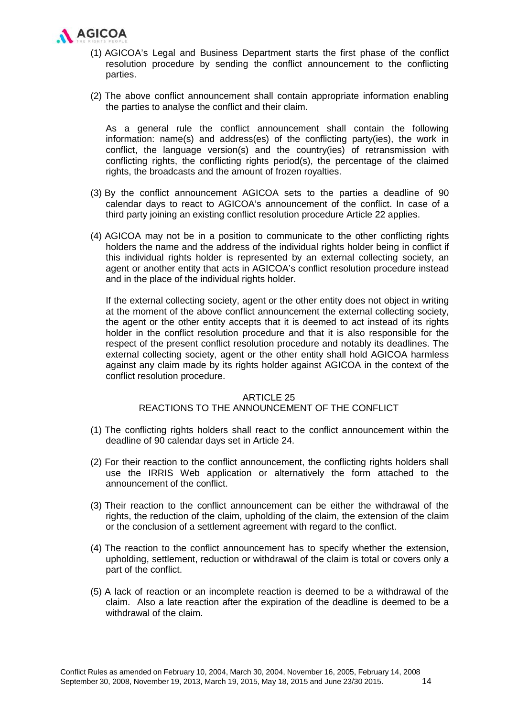

- (1) AGICOA's Legal and Business Department starts the first phase of the conflict resolution procedure by sending the conflict announcement to the conflicting parties.
- (2) The above conflict announcement shall contain appropriate information enabling the parties to analyse the conflict and their claim.

As a general rule the conflict announcement shall contain the following information: name(s) and address(es) of the conflicting party(ies), the work in conflict, the language version(s) and the country(ies) of retransmission with conflicting rights, the conflicting rights period(s), the percentage of the claimed rights, the broadcasts and the amount of frozen royalties.

- (3) By the conflict announcement AGICOA sets to the parties a deadline of 90 calendar days to react to AGICOA's announcement of the conflict. In case of a third party joining an existing conflict resolution procedure Article 22 applies.
- (4) AGICOA may not be in a position to communicate to the other conflicting rights holders the name and the address of the individual rights holder being in conflict if this individual rights holder is represented by an external collecting society, an agent or another entity that acts in AGICOA's conflict resolution procedure instead and in the place of the individual rights holder.

If the external collecting society, agent or the other entity does not object in writing at the moment of the above conflict announcement the external collecting society, the agent or the other entity accepts that it is deemed to act instead of its rights holder in the conflict resolution procedure and that it is also responsible for the respect of the present conflict resolution procedure and notably its deadlines. The external collecting society, agent or the other entity shall hold AGICOA harmless against any claim made by its rights holder against AGICOA in the context of the conflict resolution procedure.

### **ARTICLE 25**

# REACTIONS TO THE ANNOUNCEMENT OF THE CONFLICT

- (1) The conflicting rights holders shall react to the conflict announcement within the deadline of 90 calendar days set in Article 24.
- (2) For their reaction to the conflict announcement, the conflicting rights holders shall use the IRRIS Web application or alternatively the form attached to the announcement of the conflict.
- (3) Their reaction to the conflict announcement can be either the withdrawal of the rights, the reduction of the claim, upholding of the claim, the extension of the claim or the conclusion of a settlement agreement with regard to the conflict.
- (4) The reaction to the conflict announcement has to specify whether the extension, upholding, settlement, reduction or withdrawal of the claim is total or covers only a part of the conflict.
- (5) A lack of reaction or an incomplete reaction is deemed to be a withdrawal of the claim. Also a late reaction after the expiration of the deadline is deemed to be a withdrawal of the claim.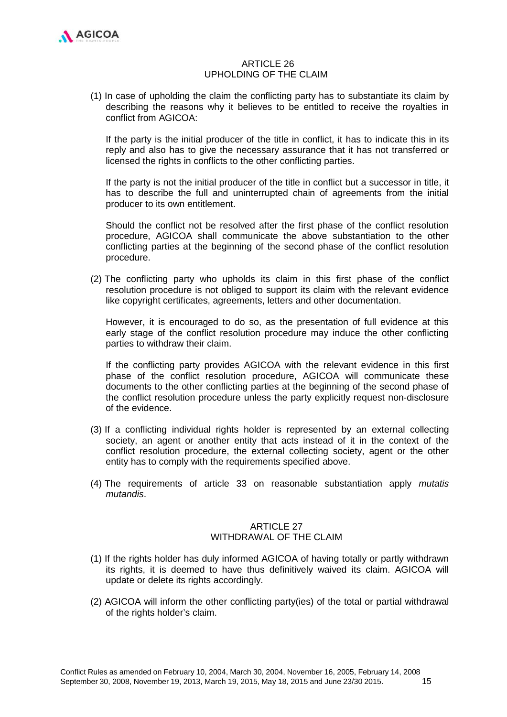

# ARTICLE 26 UPHOLDING OF THE CLAIM

(1) In case of upholding the claim the conflicting party has to substantiate its claim by describing the reasons why it believes to be entitled to receive the royalties in conflict from AGICOA:

If the party is the initial producer of the title in conflict, it has to indicate this in its reply and also has to give the necessary assurance that it has not transferred or licensed the rights in conflicts to the other conflicting parties.

If the party is not the initial producer of the title in conflict but a successor in title, it has to describe the full and uninterrupted chain of agreements from the initial producer to its own entitlement.

Should the conflict not be resolved after the first phase of the conflict resolution procedure, AGICOA shall communicate the above substantiation to the other conflicting parties at the beginning of the second phase of the conflict resolution procedure.

(2) The conflicting party who upholds its claim in this first phase of the conflict resolution procedure is not obliged to support its claim with the relevant evidence like copyright certificates, agreements, letters and other documentation.

However, it is encouraged to do so, as the presentation of full evidence at this early stage of the conflict resolution procedure may induce the other conflicting parties to withdraw their claim.

If the conflicting party provides AGICOA with the relevant evidence in this first phase of the conflict resolution procedure, AGICOA will communicate these documents to the other conflicting parties at the beginning of the second phase of the conflict resolution procedure unless the party explicitly request non-disclosure of the evidence.

- (3) If a conflicting individual rights holder is represented by an external collecting society, an agent or another entity that acts instead of it in the context of the conflict resolution procedure, the external collecting society, agent or the other entity has to comply with the requirements specified above.
- (4) The requirements of article 33 on reasonable substantiation apply *mutatis mutandis*.

# ARTICLE 27 WITHDRAWAL OF THE CLAIM

- (1) If the rights holder has duly informed AGICOA of having totally or partly withdrawn its rights, it is deemed to have thus definitively waived its claim. AGICOA will update or delete its rights accordingly.
- (2) AGICOA will inform the other conflicting party(ies) of the total or partial withdrawal of the rights holder's claim.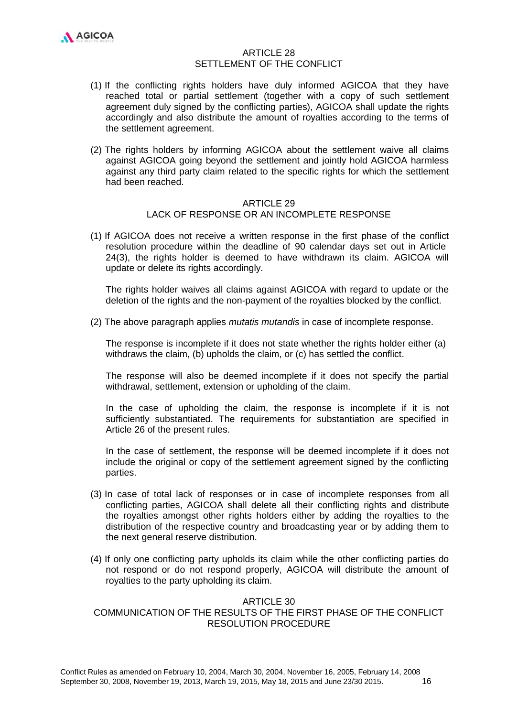# ARTICLE 28 SETTLEMENT OF THE CONFLICT

- (1) If the conflicting rights holders have duly informed AGICOA that they have reached total or partial settlement (together with a copy of such settlement agreement duly signed by the conflicting parties), AGICOA shall update the rights accordingly and also distribute the amount of royalties according to the terms of the settlement agreement.
- (2) The rights holders by informing AGICOA about the settlement waive all claims against AGICOA going beyond the settlement and jointly hold AGICOA harmless against any third party claim related to the specific rights for which the settlement had been reached.

#### ARTICLE 29

### LACK OF RESPONSE OR AN INCOMPLETE RESPONSE

(1) If AGICOA does not receive a written response in the first phase of the conflict resolution procedure within the deadline of 90 calendar days set out in Article 24(3), the rights holder is deemed to have withdrawn its claim. AGICOA will update or delete its rights accordingly.

The rights holder waives all claims against AGICOA with regard to update or the deletion of the rights and the non-payment of the royalties blocked by the conflict.

(2) The above paragraph applies *mutatis mutandis* in case of incomplete response.

The response is incomplete if it does not state whether the rights holder either (a) withdraws the claim, (b) upholds the claim, or (c) has settled the conflict.

The response will also be deemed incomplete if it does not specify the partial withdrawal, settlement, extension or upholding of the claim.

In the case of upholding the claim, the response is incomplete if it is not sufficiently substantiated. The requirements for substantiation are specified in Article 26 of the present rules.

In the case of settlement, the response will be deemed incomplete if it does not include the original or copy of the settlement agreement signed by the conflicting parties.

- (3) In case of total lack of responses or in case of incomplete responses from all conflicting parties, AGICOA shall delete all their conflicting rights and distribute the royalties amongst other rights holders either by adding the royalties to the distribution of the respective country and broadcasting year or by adding them to the next general reserve distribution.
- (4) If only one conflicting party upholds its claim while the other conflicting parties do not respond or do not respond properly, AGICOA will distribute the amount of royalties to the party upholding its claim.

### ARTICLE 30 COMMUNICATION OF THE RESULTS OF THE FIRST PHASE OF THE CONFLICT RESOLUTION PROCEDURE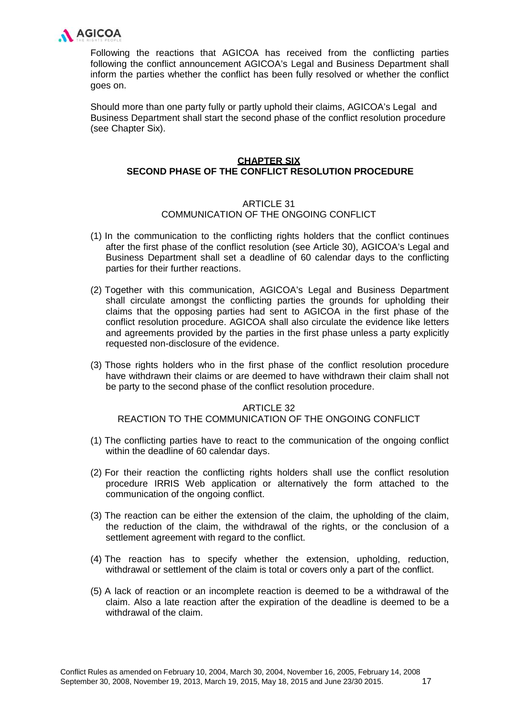

Following the reactions that AGICOA has received from the conflicting parties following the conflict announcement AGICOA's Legal and Business Department shall inform the parties whether the conflict has been fully resolved or whether the conflict goes on.

Should more than one party fully or partly uphold their claims, AGICOA's Legal and Business Department shall start the second phase of the conflict resolution procedure (see Chapter Six).

# **CHAPTER SIX SECOND PHASE OF THE CONFLICT RESOLUTION PROCEDURE**

# ARTICLE 31

# COMMUNICATION OF THE ONGOING CONFLICT

- (1) In the communication to the conflicting rights holders that the conflict continues after the first phase of the conflict resolution (see Article 30), AGICOA's Legal and Business Department shall set a deadline of 60 calendar days to the conflicting parties for their further reactions.
- (2) Together with this communication, AGICOA's Legal and Business Department shall circulate amongst the conflicting parties the grounds for upholding their claims that the opposing parties had sent to AGICOA in the first phase of the conflict resolution procedure. AGICOA shall also circulate the evidence like letters and agreements provided by the parties in the first phase unless a party explicitly requested non-disclosure of the evidence.
- (3) Those rights holders who in the first phase of the conflict resolution procedure have withdrawn their claims or are deemed to have withdrawn their claim shall not be party to the second phase of the conflict resolution procedure.

### ARTICLE 32

REACTION TO THE COMMUNICATION OF THE ONGOING CONFLICT

- (1) The conflicting parties have to react to the communication of the ongoing conflict within the deadline of 60 calendar days.
- (2) For their reaction the conflicting rights holders shall use the conflict resolution procedure IRRIS Web application or alternatively the form attached to the communication of the ongoing conflict.
- (3) The reaction can be either the extension of the claim, the upholding of the claim, the reduction of the claim, the withdrawal of the rights, or the conclusion of a settlement agreement with regard to the conflict.
- (4) The reaction has to specify whether the extension, upholding, reduction, withdrawal or settlement of the claim is total or covers only a part of the conflict.
- (5) A lack of reaction or an incomplete reaction is deemed to be a withdrawal of the claim. Also a late reaction after the expiration of the deadline is deemed to be a withdrawal of the claim.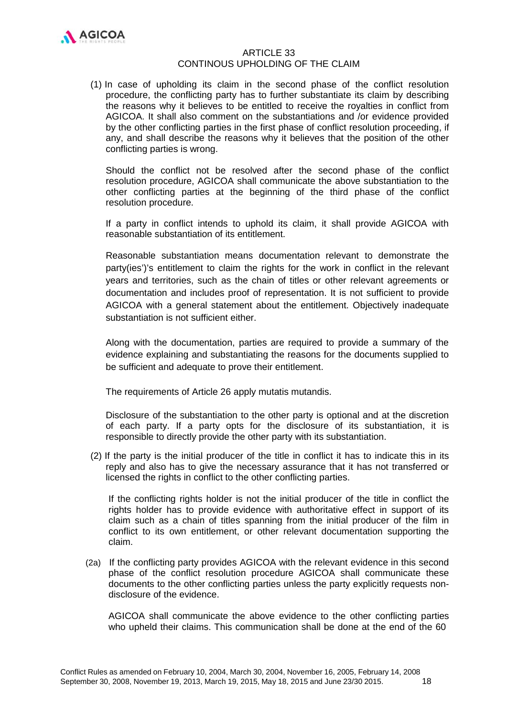

### ARTICLE 33 CONTINOUS UPHOLDING OF THE CLAIM

(1) In case of upholding its claim in the second phase of the conflict resolution procedure, the conflicting party has to further substantiate its claim by describing the reasons why it believes to be entitled to receive the royalties in conflict from AGICOA. It shall also comment on the substantiations and /or evidence provided by the other conflicting parties in the first phase of conflict resolution proceeding, if any, and shall describe the reasons why it believes that the position of the other conflicting parties is wrong.

Should the conflict not be resolved after the second phase of the conflict resolution procedure, AGICOA shall communicate the above substantiation to the other conflicting parties at the beginning of the third phase of the conflict resolution procedure.

If a party in conflict intends to uphold its claim, it shall provide AGICOA with reasonable substantiation of its entitlement.

Reasonable substantiation means documentation relevant to demonstrate the party(ies')'s entitlement to claim the rights for the work in conflict in the relevant years and territories, such as the chain of titles or other relevant agreements or documentation and includes proof of representation. It is not sufficient to provide AGICOA with a general statement about the entitlement. Objectively inadequate substantiation is not sufficient either.

Along with the documentation, parties are required to provide a summary of the evidence explaining and substantiating the reasons for the documents supplied to be sufficient and adequate to prove their entitlement.

The requirements of Article 26 apply mutatis mutandis.

Disclosure of the substantiation to the other party is optional and at the discretion of each party. If a party opts for the disclosure of its substantiation, it is responsible to directly provide the other party with its substantiation.

(2) If the party is the initial producer of the title in conflict it has to indicate this in its reply and also has to give the necessary assurance that it has not transferred or licensed the rights in conflict to the other conflicting parties.

If the conflicting rights holder is not the initial producer of the title in conflict the rights holder has to provide evidence with authoritative effect in support of its claim such as a chain of titles spanning from the initial producer of the film in conflict to its own entitlement, or other relevant documentation supporting the claim.

(2a) If the conflicting party provides AGICOA with the relevant evidence in this second phase of the conflict resolution procedure AGICOA shall communicate these documents to the other conflicting parties unless the party explicitly requests nondisclosure of the evidence.

AGICOA shall communicate the above evidence to the other conflicting parties who upheld their claims. This communication shall be done at the end of the 60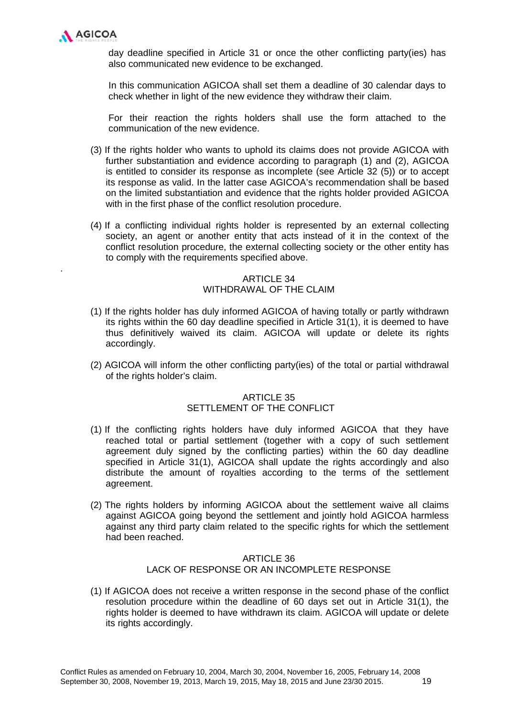

.

day deadline specified in Article 31 or once the other conflicting party(ies) has also communicated new evidence to be exchanged.

In this communication AGICOA shall set them a deadline of 30 calendar days to check whether in light of the new evidence they withdraw their claim.

For their reaction the rights holders shall use the form attached to the communication of the new evidence.

- (3) If the rights holder who wants to uphold its claims does not provide AGICOA with further substantiation and evidence according to paragraph (1) and (2), AGICOA is entitled to consider its response as incomplete (see Article 32 (5)) or to accept its response as valid. In the latter case AGICOA's recommendation shall be based on the limited substantiation and evidence that the rights holder provided AGICOA with in the first phase of the conflict resolution procedure.
- (4) If a conflicting individual rights holder is represented by an external collecting society, an agent or another entity that acts instead of it in the context of the conflict resolution procedure, the external collecting society or the other entity has to comply with the requirements specified above.

# ARTICLE 34 WITHDRAWAL OF THE CLAIM

- (1) If the rights holder has duly informed AGICOA of having totally or partly withdrawn its rights within the 60 day deadline specified in Article 31(1), it is deemed to have thus definitively waived its claim. AGICOA will update or delete its rights accordingly.
- (2) AGICOA will inform the other conflicting party(ies) of the total or partial withdrawal of the rights holder's claim.

# ARTICLE 35 SETTLEMENT OF THE CONFLICT

- (1) If the conflicting rights holders have duly informed AGICOA that they have reached total or partial settlement (together with a copy of such settlement agreement duly signed by the conflicting parties) within the 60 day deadline specified in Article 31(1), AGICOA shall update the rights accordingly and also distribute the amount of royalties according to the terms of the settlement agreement.
- (2) The rights holders by informing AGICOA about the settlement waive all claims against AGICOA going beyond the settlement and jointly hold AGICOA harmless against any third party claim related to the specific rights for which the settlement had been reached.

# ARTICLE 36 LACK OF RESPONSE OR AN INCOMPLETE RESPONSE

(1) If AGICOA does not receive a written response in the second phase of the conflict resolution procedure within the deadline of 60 days set out in Article 31(1), the rights holder is deemed to have withdrawn its claim. AGICOA will update or delete its rights accordingly.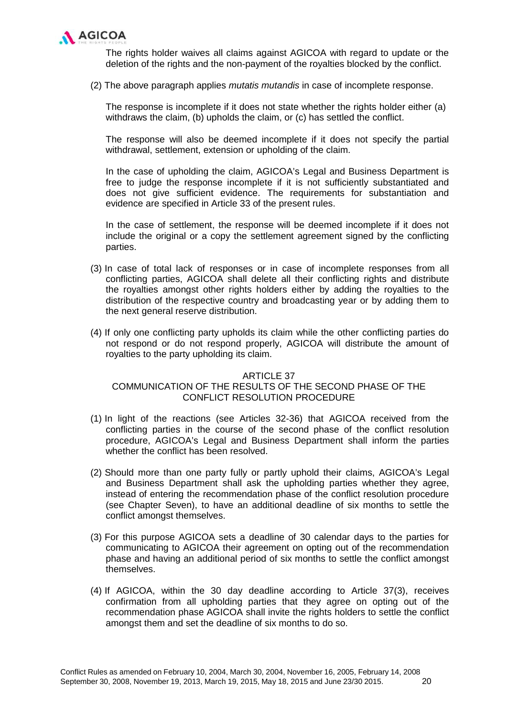

The rights holder waives all claims against AGICOA with regard to update or the deletion of the rights and the non-payment of the royalties blocked by the conflict.

(2) The above paragraph applies *mutatis mutandis* in case of incomplete response.

The response is incomplete if it does not state whether the rights holder either (a) withdraws the claim, (b) upholds the claim, or (c) has settled the conflict.

The response will also be deemed incomplete if it does not specify the partial withdrawal, settlement, extension or upholding of the claim.

In the case of upholding the claim, AGICOA's Legal and Business Department is free to judge the response incomplete if it is not sufficiently substantiated and does not give sufficient evidence. The requirements for substantiation and evidence are specified in Article 33 of the present rules.

In the case of settlement, the response will be deemed incomplete if it does not include the original or a copy the settlement agreement signed by the conflicting parties.

- (3) In case of total lack of responses or in case of incomplete responses from all conflicting parties, AGICOA shall delete all their conflicting rights and distribute the royalties amongst other rights holders either by adding the royalties to the distribution of the respective country and broadcasting year or by adding them to the next general reserve distribution.
- (4) If only one conflicting party upholds its claim while the other conflicting parties do not respond or do not respond properly, AGICOA will distribute the amount of royalties to the party upholding its claim.

#### ARTICLE 37

# COMMUNICATION OF THE RESULTS OF THE SECOND PHASE OF THE CONFLICT RESOLUTION PROCEDURE

- (1) In light of the reactions (see Articles 32-36) that AGICOA received from the conflicting parties in the course of the second phase of the conflict resolution procedure, AGICOA's Legal and Business Department shall inform the parties whether the conflict has been resolved.
- (2) Should more than one party fully or partly uphold their claims, AGICOA's Legal and Business Department shall ask the upholding parties whether they agree, instead of entering the recommendation phase of the conflict resolution procedure (see Chapter Seven), to have an additional deadline of six months to settle the conflict amongst themselves.
- (3) For this purpose AGICOA sets a deadline of 30 calendar days to the parties for communicating to AGICOA their agreement on opting out of the recommendation phase and having an additional period of six months to settle the conflict amongst themselves.
- (4) If AGICOA, within the 30 day deadline according to Article 37(3), receives confirmation from all upholding parties that they agree on opting out of the recommendation phase AGICOA shall invite the rights holders to settle the conflict amongst them and set the deadline of six months to do so.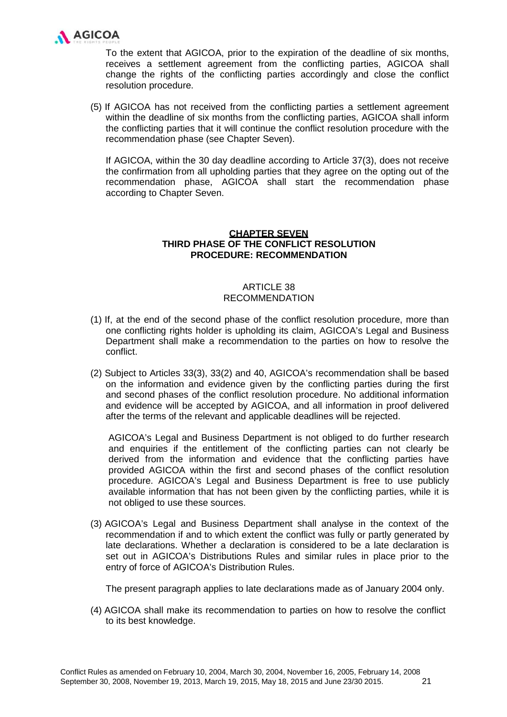

To the extent that AGICOA, prior to the expiration of the deadline of six months, receives a settlement agreement from the conflicting parties, AGICOA shall change the rights of the conflicting parties accordingly and close the conflict resolution procedure.

(5) If AGICOA has not received from the conflicting parties a settlement agreement within the deadline of six months from the conflicting parties, AGICOA shall inform the conflicting parties that it will continue the conflict resolution procedure with the recommendation phase (see Chapter Seven).

If AGICOA, within the 30 day deadline according to Article 37(3), does not receive the confirmation from all upholding parties that they agree on the opting out of the recommendation phase, AGICOA shall start the recommendation phase according to Chapter Seven.

### **CHAPTER SEVEN THIRD PHASE OF THE CONFLICT RESOLUTION PROCEDURE: RECOMMENDATION**

# **ARTICLE 38** RECOMMENDATION

- (1) If, at the end of the second phase of the conflict resolution procedure, more than one conflicting rights holder is upholding its claim, AGICOA's Legal and Business Department shall make a recommendation to the parties on how to resolve the conflict.
- (2) Subject to Articles 33(3), 33(2) and 40, AGICOA's recommendation shall be based on the information and evidence given by the conflicting parties during the first and second phases of the conflict resolution procedure. No additional information and evidence will be accepted by AGICOA, and all information in proof delivered after the terms of the relevant and applicable deadlines will be rejected.

AGICOA's Legal and Business Department is not obliged to do further research and enquiries if the entitlement of the conflicting parties can not clearly be derived from the information and evidence that the conflicting parties have provided AGICOA within the first and second phases of the conflict resolution procedure. AGICOA's Legal and Business Department is free to use publicly available information that has not been given by the conflicting parties, while it is not obliged to use these sources.

(3) AGICOA's Legal and Business Department shall analyse in the context of the recommendation if and to which extent the conflict was fully or partly generated by late declarations. Whether a declaration is considered to be a late declaration is set out in AGICOA's Distributions Rules and similar rules in place prior to the entry of force of AGICOA's Distribution Rules.

The present paragraph applies to late declarations made as of January 2004 only.

(4) AGICOA shall make its recommendation to parties on how to resolve the conflict to its best knowledge.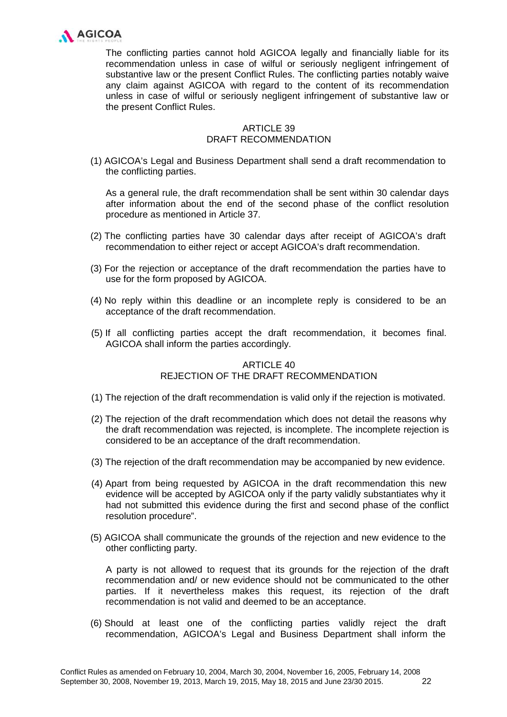

The conflicting parties cannot hold AGICOA legally and financially liable for its recommendation unless in case of wilful or seriously negligent infringement of substantive law or the present Conflict Rules. The conflicting parties notably waive any claim against AGICOA with regard to the content of its recommendation unless in case of wilful or seriously negligent infringement of substantive law or the present Conflict Rules.

# ARTICLE 39 DRAFT RECOMMENDATION

(1) AGICOA's Legal and Business Department shall send a draft recommendation to the conflicting parties.

As a general rule, the draft recommendation shall be sent within 30 calendar days after information about the end of the second phase of the conflict resolution procedure as mentioned in Article 37.

- (2) The conflicting parties have 30 calendar days after receipt of AGICOA's draft recommendation to either reject or accept AGICOA's draft recommendation.
- (3) For the rejection or acceptance of the draft recommendation the parties have to use for the form proposed by AGICOA.
- (4) No reply within this deadline or an incomplete reply is considered to be an acceptance of the draft recommendation.
- (5) If all conflicting parties accept the draft recommendation, it becomes final. AGICOA shall inform the parties accordingly.

# ARTICLE 40 REJECTION OF THE DRAFT RECOMMENDATION

- (1) The rejection of the draft recommendation is valid only if the rejection is motivated.
- (2) The rejection of the draft recommendation which does not detail the reasons why the draft recommendation was rejected, is incomplete. The incomplete rejection is considered to be an acceptance of the draft recommendation.
- (3) The rejection of the draft recommendation may be accompanied by new evidence.
- (4) Apart from being requested by AGICOA in the draft recommendation this new evidence will be accepted by AGICOA only if the party validly substantiates why it had not submitted this evidence during the first and second phase of the conflict resolution procedure".
- (5) AGICOA shall communicate the grounds of the rejection and new evidence to the other conflicting party.

A party is not allowed to request that its grounds for the rejection of the draft recommendation and/ or new evidence should not be communicated to the other parties. If it nevertheless makes this request, its rejection of the draft recommendation is not valid and deemed to be an acceptance.

(6) Should at least one of the conflicting parties validly reject the draft recommendation, AGICOA's Legal and Business Department shall inform the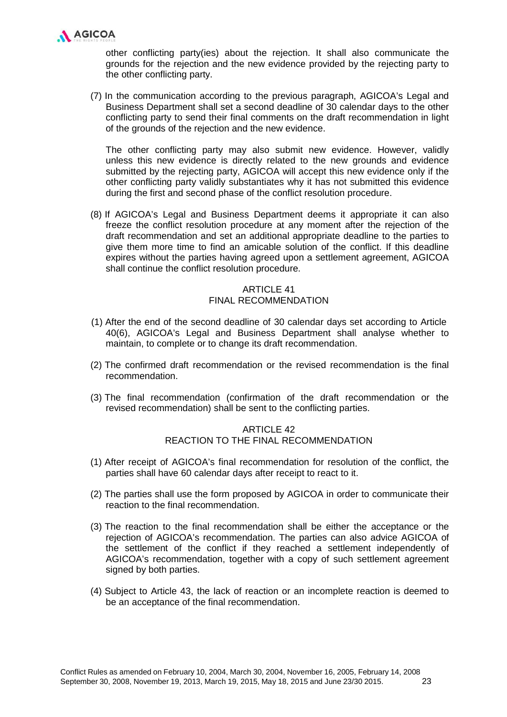

other conflicting party(ies) about the rejection. It shall also communicate the grounds for the rejection and the new evidence provided by the rejecting party to the other conflicting party.

(7) In the communication according to the previous paragraph, AGICOA's Legal and Business Department shall set a second deadline of 30 calendar days to the other conflicting party to send their final comments on the draft recommendation in light of the grounds of the rejection and the new evidence.

The other conflicting party may also submit new evidence. However, validly unless this new evidence is directly related to the new grounds and evidence submitted by the rejecting party, AGICOA will accept this new evidence only if the other conflicting party validly substantiates why it has not submitted this evidence during the first and second phase of the conflict resolution procedure.

(8) If AGICOA's Legal and Business Department deems it appropriate it can also freeze the conflict resolution procedure at any moment after the rejection of the draft recommendation and set an additional appropriate deadline to the parties to give them more time to find an amicable solution of the conflict. If this deadline expires without the parties having agreed upon a settlement agreement, AGICOA shall continue the conflict resolution procedure.

# **ARTICLE 41** FINAL RECOMMENDATION

- (1) After the end of the second deadline of 30 calendar days set according to Article 40(6), AGICOA's Legal and Business Department shall analyse whether to maintain, to complete or to change its draft recommendation.
- (2) The confirmed draft recommendation or the revised recommendation is the final recommendation.
- (3) The final recommendation (confirmation of the draft recommendation or the revised recommendation) shall be sent to the conflicting parties.

# ARTICLE 42 REACTION TO THE FINAL RECOMMENDATION

- (1) After receipt of AGICOA's final recommendation for resolution of the conflict, the parties shall have 60 calendar days after receipt to react to it.
- (2) The parties shall use the form proposed by AGICOA in order to communicate their reaction to the final recommendation.
- (3) The reaction to the final recommendation shall be either the acceptance or the rejection of AGICOA's recommendation. The parties can also advice AGICOA of the settlement of the conflict if they reached a settlement independently of AGICOA's recommendation, together with a copy of such settlement agreement signed by both parties.
- (4) Subject to Article 43, the lack of reaction or an incomplete reaction is deemed to be an acceptance of the final recommendation.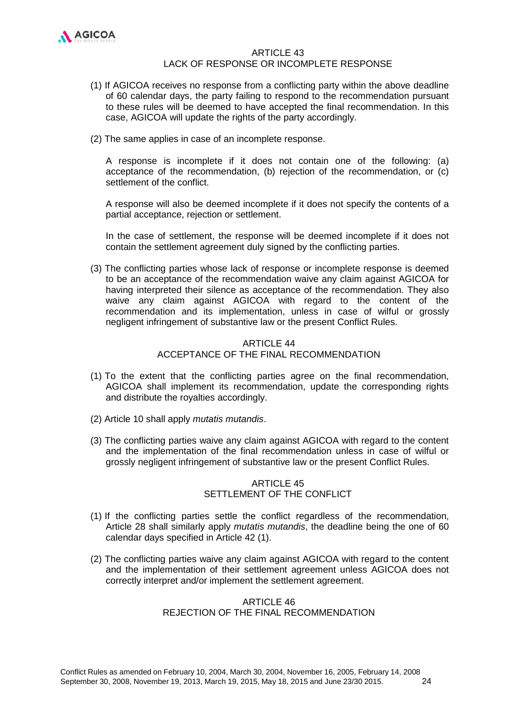

#### ARTICLE 43 LACK OF RESPONSE OR INCOMPLETE RESPONSE

- (1) If AGICOA receives no response from a conflicting party within the above deadline of 60 calendar days, the party failing to respond to the recommendation pursuant to these rules will be deemed to have accepted the final recommendation. In this case, AGICOA will update the rights of the party accordingly.
- (2) The same applies in case of an incomplete response.

A response is incomplete if it does not contain one of the following: (a) acceptance of the recommendation, (b) rejection of the recommendation, or (c) settlement of the conflict.

A response will also be deemed incomplete if it does not specify the contents of a partial acceptance, rejection or settlement.

In the case of settlement, the response will be deemed incomplete if it does not contain the settlement agreement duly signed by the conflicting parties.

(3) The conflicting parties whose lack of response or incomplete response is deemed to be an acceptance of the recommendation waive any claim against AGICOA for having interpreted their silence as acceptance of the recommendation. They also waive any claim against AGICOA with regard to the content of the recommendation and its implementation, unless in case of wilful or grossly negligent infringement of substantive law or the present Conflict Rules.

# $ARTICI F 44$ ACCEPTANCE OF THE FINAL RECOMMENDATION

- (1) To the extent that the conflicting parties agree on the final recommendation, AGICOA shall implement its recommendation, update the corresponding rights and distribute the royalties accordingly.
- (2) Article 10 shall apply *mutatis mutandis*.
- (3) The conflicting parties waive any claim against AGICOA with regard to the content and the implementation of the final recommendation unless in case of wilful or grossly negligent infringement of substantive law or the present Conflict Rules.

# ARTICLE 45 SETTLEMENT OF THE CONFLICT

- (1) If the conflicting parties settle the conflict regardless of the recommendation, Article 28 shall similarly apply *mutatis mutandis*, the deadline being the one of 60 calendar days specified in Article 42 (1).
- (2) The conflicting parties waive any claim against AGICOA with regard to the content and the implementation of their settlement agreement unless AGICOA does not correctly interpret and/or implement the settlement agreement.

# ARTICLE 46 REJECTION OF THE FINAL RECOMMENDATION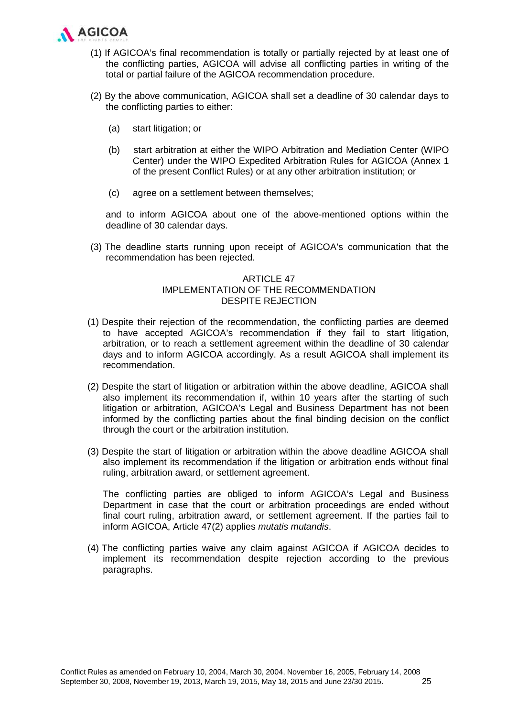

- (1) If AGICOA's final recommendation is totally or partially rejected by at least one of the conflicting parties, AGICOA will advise all conflicting parties in writing of the total or partial failure of the AGICOA recommendation procedure.
- (2) By the above communication, AGICOA shall set a deadline of 30 calendar days to the conflicting parties to either:
	- (a) start litigation; or
	- (b) start arbitration at either the WIPO Arbitration and Mediation Center (WIPO Center) under the WIPO Expedited Arbitration Rules for AGICOA (Annex 1 of the present Conflict Rules) or at any other arbitration institution; or
	- (c) agree on a settlement between themselves;

and to inform AGICOA about one of the above-mentioned options within the deadline of 30 calendar days.

(3) The deadline starts running upon receipt of AGICOA's communication that the recommendation has been rejected.

# ARTICLE 47 IMPLEMENTATION OF THE RECOMMENDATION DESPITE REJECTION

- (1) Despite their rejection of the recommendation, the conflicting parties are deemed to have accepted AGICOA's recommendation if they fail to start litigation, arbitration, or to reach a settlement agreement within the deadline of 30 calendar days and to inform AGICOA accordingly. As a result AGICOA shall implement its recommendation.
- (2) Despite the start of litigation or arbitration within the above deadline, AGICOA shall also implement its recommendation if, within 10 years after the starting of such litigation or arbitration, AGICOA's Legal and Business Department has not been informed by the conflicting parties about the final binding decision on the conflict through the court or the arbitration institution.
- (3) Despite the start of litigation or arbitration within the above deadline AGICOA shall also implement its recommendation if the litigation or arbitration ends without final ruling, arbitration award, or settlement agreement.

The conflicting parties are obliged to inform AGICOA's Legal and Business Department in case that the court or arbitration proceedings are ended without final court ruling, arbitration award, or settlement agreement. If the parties fail to inform AGICOA, Article 47(2) applies *mutatis mutandis*.

(4) The conflicting parties waive any claim against AGICOA if AGICOA decides to implement its recommendation despite rejection according to the previous paragraphs.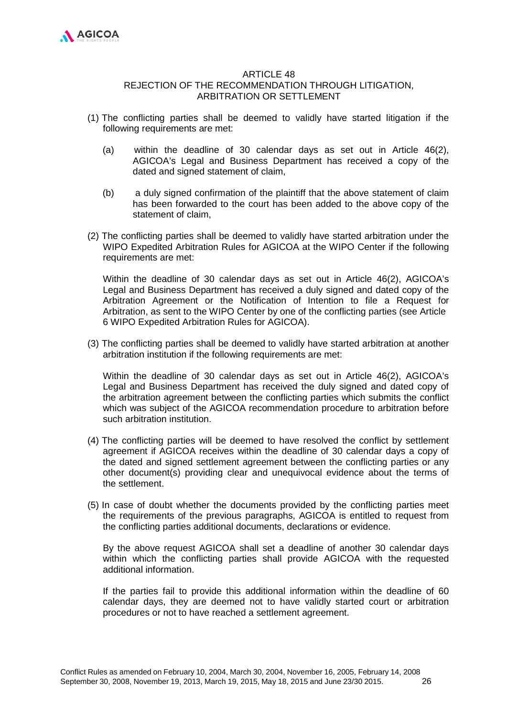

#### **ARTICLE 48**

# REJECTION OF THE RECOMMENDATION THROUGH LITIGATION, ARBITRATION OR SETTLEMENT

- (1) The conflicting parties shall be deemed to validly have started litigation if the following requirements are met:
	- (a) within the deadline of 30 calendar days as set out in Article 46(2), AGICOA's Legal and Business Department has received a copy of the dated and signed statement of claim,
	- (b) a duly signed confirmation of the plaintiff that the above statement of claim has been forwarded to the court has been added to the above copy of the statement of claim,
- (2) The conflicting parties shall be deemed to validly have started arbitration under the WIPO Expedited Arbitration Rules for AGICOA at the WIPO Center if the following requirements are met:

Within the deadline of 30 calendar days as set out in Article 46(2), AGICOA's Legal and Business Department has received a duly signed and dated copy of the Arbitration Agreement or the Notification of Intention to file a Request for Arbitration, as sent to the WIPO Center by one of the conflicting parties (see Article 6 WIPO Expedited Arbitration Rules for AGICOA).

(3) The conflicting parties shall be deemed to validly have started arbitration at another arbitration institution if the following requirements are met:

Within the deadline of 30 calendar days as set out in Article 46(2), AGICOA's Legal and Business Department has received the duly signed and dated copy of the arbitration agreement between the conflicting parties which submits the conflict which was subject of the AGICOA recommendation procedure to arbitration before such arbitration institution.

- (4) The conflicting parties will be deemed to have resolved the conflict by settlement agreement if AGICOA receives within the deadline of 30 calendar days a copy of the dated and signed settlement agreement between the conflicting parties or any other document(s) providing clear and unequivocal evidence about the terms of the settlement.
- (5) In case of doubt whether the documents provided by the conflicting parties meet the requirements of the previous paragraphs, AGICOA is entitled to request from the conflicting parties additional documents, declarations or evidence.

By the above request AGICOA shall set a deadline of another 30 calendar days within which the conflicting parties shall provide AGICOA with the requested additional information.

If the parties fail to provide this additional information within the deadline of 60 calendar days, they are deemed not to have validly started court or arbitration procedures or not to have reached a settlement agreement.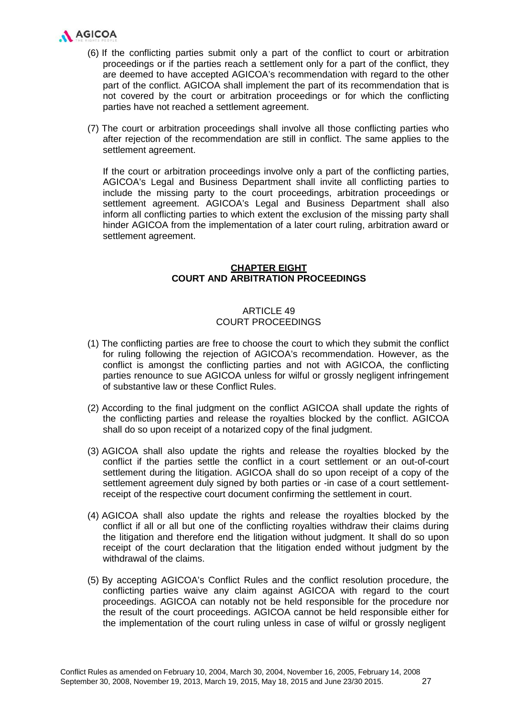

- (6) If the conflicting parties submit only a part of the conflict to court or arbitration proceedings or if the parties reach a settlement only for a part of the conflict, they are deemed to have accepted AGICOA's recommendation with regard to the other part of the conflict. AGICOA shall implement the part of its recommendation that is not covered by the court or arbitration proceedings or for which the conflicting parties have not reached a settlement agreement.
- (7) The court or arbitration proceedings shall involve all those conflicting parties who after rejection of the recommendation are still in conflict. The same applies to the settlement agreement.

If the court or arbitration proceedings involve only a part of the conflicting parties, AGICOA's Legal and Business Department shall invite all conflicting parties to include the missing party to the court proceedings, arbitration proceedings or settlement agreement. AGICOA's Legal and Business Department shall also inform all conflicting parties to which extent the exclusion of the missing party shall hinder AGICOA from the implementation of a later court ruling, arbitration award or settlement agreement.

# **CHAPTER EIGHT COURT AND ARBITRATION PROCEEDINGS**

# ARTICLE 49 COURT PROCEEDINGS

- (1) The conflicting parties are free to choose the court to which they submit the conflict for ruling following the rejection of AGICOA's recommendation. However, as the conflict is amongst the conflicting parties and not with AGICOA, the conflicting parties renounce to sue AGICOA unless for wilful or grossly negligent infringement of substantive law or these Conflict Rules.
- (2) According to the final judgment on the conflict AGICOA shall update the rights of the conflicting parties and release the royalties blocked by the conflict. AGICOA shall do so upon receipt of a notarized copy of the final judgment.
- (3) AGICOA shall also update the rights and release the royalties blocked by the conflict if the parties settle the conflict in a court settlement or an out-of-court settlement during the litigation. AGICOA shall do so upon receipt of a copy of the settlement agreement duly signed by both parties or -in case of a court settlementreceipt of the respective court document confirming the settlement in court.
- (4) AGICOA shall also update the rights and release the royalties blocked by the conflict if all or all but one of the conflicting royalties withdraw their claims during the litigation and therefore end the litigation without judgment. It shall do so upon receipt of the court declaration that the litigation ended without judgment by the withdrawal of the claims.
- (5) By accepting AGICOA's Conflict Rules and the conflict resolution procedure, the conflicting parties waive any claim against AGICOA with regard to the court proceedings. AGICOA can notably not be held responsible for the procedure nor the result of the court proceedings. AGICOA cannot be held responsible either for the implementation of the court ruling unless in case of wilful or grossly negligent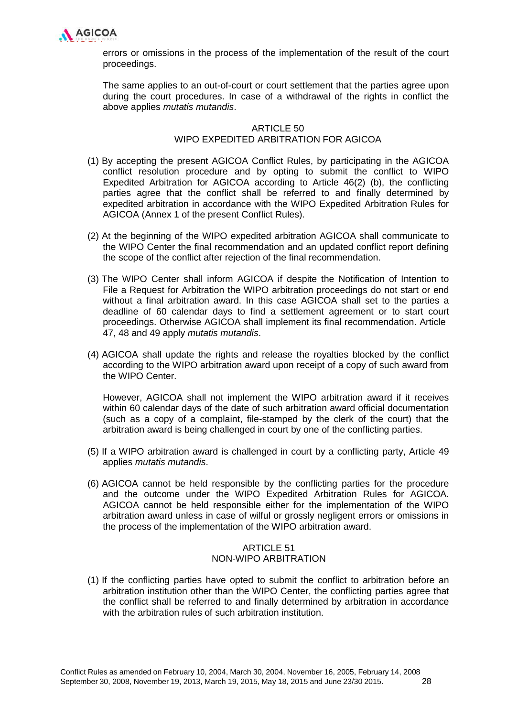

errors or omissions in the process of the implementation of the result of the court proceedings.

The same applies to an out-of-court or court settlement that the parties agree upon during the court procedures. In case of a withdrawal of the rights in conflict the above applies *mutatis mutandis*.

# ARTICLE 50 WIPO EXPEDITED ARBITRATION FOR AGICOA

- (1) By accepting the present AGICOA Conflict Rules, by participating in the AGICOA conflict resolution procedure and by opting to submit the conflict to WIPO Expedited Arbitration for AGICOA according to Article 46(2) (b), the conflicting parties agree that the conflict shall be referred to and finally determined by expedited arbitration in accordance with the WIPO Expedited Arbitration Rules for AGICOA (Annex 1 of the present Conflict Rules).
- (2) At the beginning of the WIPO expedited arbitration AGICOA shall communicate to the WIPO Center the final recommendation and an updated conflict report defining the scope of the conflict after rejection of the final recommendation.
- (3) The WIPO Center shall inform AGICOA if despite the Notification of Intention to File a Request for Arbitration the WIPO arbitration proceedings do not start or end without a final arbitration award. In this case AGICOA shall set to the parties a deadline of 60 calendar days to find a settlement agreement or to start court proceedings. Otherwise AGICOA shall implement its final recommendation. Article 47, 48 and 49 apply *mutatis mutandis*.
- (4) AGICOA shall update the rights and release the royalties blocked by the conflict according to the WIPO arbitration award upon receipt of a copy of such award from the WIPO Center.

However, AGICOA shall not implement the WIPO arbitration award if it receives within 60 calendar days of the date of such arbitration award official documentation (such as a copy of a complaint, file-stamped by the clerk of the court) that the arbitration award is being challenged in court by one of the conflicting parties.

- (5) If a WIPO arbitration award is challenged in court by a conflicting party, Article 49 applies *mutatis mutandis*.
- (6) AGICOA cannot be held responsible by the conflicting parties for the procedure and the outcome under the WIPO Expedited Arbitration Rules for AGICOA. AGICOA cannot be held responsible either for the implementation of the WIPO arbitration award unless in case of wilful or grossly negligent errors or omissions in the process of the implementation of the WIPO arbitration award.

# ARTICLE 51 NON-WIPO ARBITRATION

(1) If the conflicting parties have opted to submit the conflict to arbitration before an arbitration institution other than the WIPO Center, the conflicting parties agree that the conflict shall be referred to and finally determined by arbitration in accordance with the arbitration rules of such arbitration institution.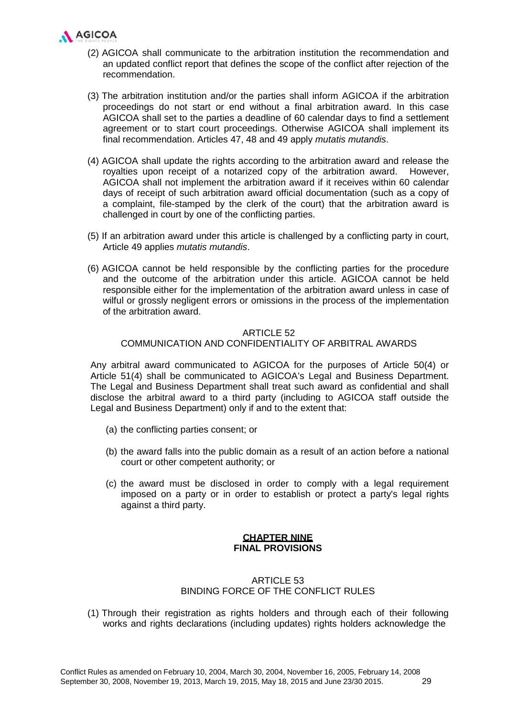

- (2) AGICOA shall communicate to the arbitration institution the recommendation and an updated conflict report that defines the scope of the conflict after rejection of the recommendation.
- (3) The arbitration institution and/or the parties shall inform AGICOA if the arbitration proceedings do not start or end without a final arbitration award. In this case AGICOA shall set to the parties a deadline of 60 calendar days to find a settlement agreement or to start court proceedings. Otherwise AGICOA shall implement its final recommendation. Articles 47, 48 and 49 apply *mutatis mutandis*.
- (4) AGICOA shall update the rights according to the arbitration award and release the royalties upon receipt of a notarized copy of the arbitration award. However, AGICOA shall not implement the arbitration award if it receives within 60 calendar days of receipt of such arbitration award official documentation (such as a copy of a complaint, file-stamped by the clerk of the court) that the arbitration award is challenged in court by one of the conflicting parties.
- (5) If an arbitration award under this article is challenged by a conflicting party in court, Article 49 applies *mutatis mutandis*.
- (6) AGICOA cannot be held responsible by the conflicting parties for the procedure and the outcome of the arbitration under this article. AGICOA cannot be held responsible either for the implementation of the arbitration award unless in case of wilful or grossly negligent errors or omissions in the process of the implementation of the arbitration award.

### ARTICLE 52

### COMMUNICATION AND CONFIDENTIALITY OF ARBITRAL AWARDS

Any arbitral award communicated to AGICOA for the purposes of Article 50(4) or Article 51(4) shall be communicated to AGICOA's Legal and Business Department. The Legal and Business Department shall treat such award as confidential and shall disclose the arbitral award to a third party (including to AGICOA staff outside the Legal and Business Department) only if and to the extent that:

- (a) the conflicting parties consent; or
- (b) the award falls into the public domain as a result of an action before a national court or other competent authority; or
- (c) the award must be disclosed in order to comply with a legal requirement imposed on a party or in order to establish or protect a party's legal rights against a third party.

### **CHAPTER NINE FINAL PROVISIONS**

# ARTICLE 53 BINDING FORCE OF THE CONFLICT RULES

(1) Through their registration as rights holders and through each of their following works and rights declarations (including updates) rights holders acknowledge the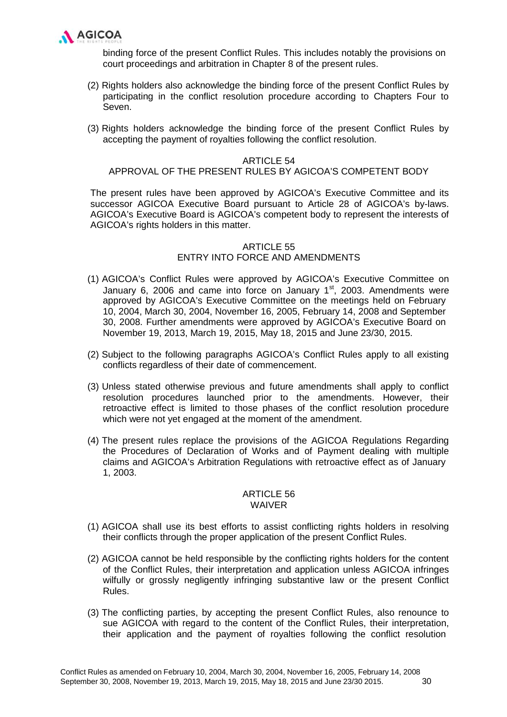

binding force of the present Conflict Rules. This includes notably the provisions on court proceedings and arbitration in Chapter 8 of the present rules.

- (2) Rights holders also acknowledge the binding force of the present Conflict Rules by participating in the conflict resolution procedure according to Chapters Four to Seven.
- (3) Rights holders acknowledge the binding force of the present Conflict Rules by accepting the payment of royalties following the conflict resolution.

### ARTICLE 54

### APPROVAL OF THE PRESENT RULES BY AGICOA'S COMPETENT BODY

The present rules have been approved by AGICOA's Executive Committee and its successor AGICOA Executive Board pursuant to Article 28 of AGICOA's by-laws. AGICOA's Executive Board is AGICOA's competent body to represent the interests of AGICOA's rights holders in this matter.

### ARTICLE 55 ENTRY INTO FORCE AND AMENDMENTS

- (1) AGICOA's Conflict Rules were approved by AGICOA's Executive Committee on January 6, 2006 and came into force on January  $1<sup>st</sup>$ , 2003. Amendments were approved by AGICOA's Executive Committee on the meetings held on February 10, 2004, March 30, 2004, November 16, 2005, February 14, 2008 and September 30, 2008. Further amendments were approved by AGICOA's Executive Board on November 19, 2013, March 19, 2015, May 18, 2015 and June 23/30, 2015.
- (2) Subject to the following paragraphs AGICOA's Conflict Rules apply to all existing conflicts regardless of their date of commencement.
- (3) Unless stated otherwise previous and future amendments shall apply to conflict resolution procedures launched prior to the amendments. However, their retroactive effect is limited to those phases of the conflict resolution procedure which were not yet engaged at the moment of the amendment.
- (4) The present rules replace the provisions of the AGICOA Regulations Regarding the Procedures of Declaration of Works and of Payment dealing with multiple claims and AGICOA's Arbitration Regulations with retroactive effect as of January 1, 2003.

#### ARTICLE 56 WAIVER

- (1) AGICOA shall use its best efforts to assist conflicting rights holders in resolving their conflicts through the proper application of the present Conflict Rules.
- (2) AGICOA cannot be held responsible by the conflicting rights holders for the content of the Conflict Rules, their interpretation and application unless AGICOA infringes wilfully or grossly negligently infringing substantive law or the present Conflict Rules.
- (3) The conflicting parties, by accepting the present Conflict Rules, also renounce to sue AGICOA with regard to the content of the Conflict Rules, their interpretation, their application and the payment of royalties following the conflict resolution